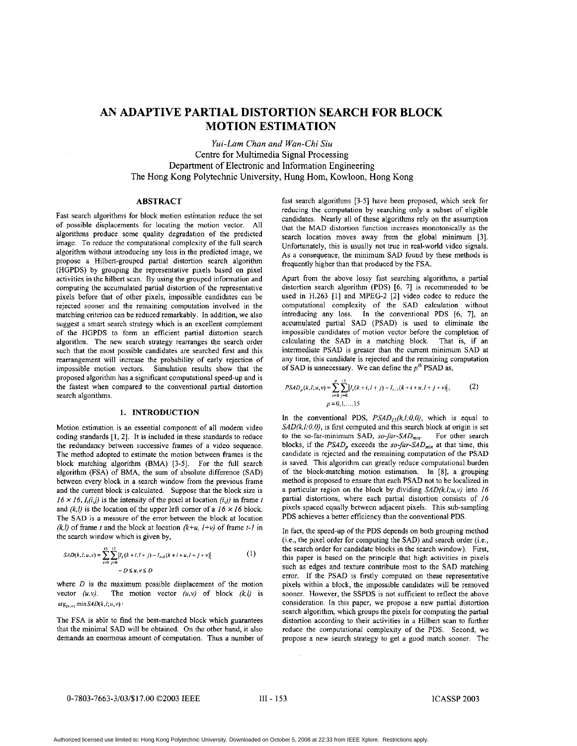# **AN ADAPTIVE PARTIAL DISTORTION SEARCH FOR BLOCK MOTION ESTIMATION**

*Yui-Lam Chan and Wan-Chi Siu*  Centre for Multimedia Signal Processing Department of Electronic and Information Engineering The Hong Kong Polytechnic University, Hung Hom, Kowloon, Hong Kong

## **ABSTRACT**

Fast search algorithms for block motion estimation reduce the set of possible displacements for locating the motion vector. All algorithms produce some quality degradation of the predicted image. To reduce the computational complexity of the full search algorithm without introducing any loss in the predicted image, we propose a Hilbert-grouped partial distortion search algorithm (HGPDS) by grouping the representative pixels based on pixel activities in the hilbert scan. By using the grouped information and computing the accumulated partial distortion of the representative pixels before that of other pixels, impossible candidates can be rejected sooner and the remaining computation involved in the matching criterion can be reduced remarkably. In addition, we also suggest a smart search strategy which is an excellent complement of the HGPDS to form an efficient partial distortion search algorithm. The new search strategy rearranges the search order such that the most possible candidates are searched first and this rearrangement will increase the probability of early rejection of impossible motion vectors. Simulation results show that the proposed algorithm has a significant computational speed-up and is the fastest when compared to the conventional partial distortion search algorithms.

## **1. INTRODUCTION**

Motion estimation is an essential component of all modem video coding standards **[I,** 21. It is included in these standards to reduce the redundancy between successive frames of a video sequence. The method adopted to estimate **the** motion between frames is the block matching algorithm (BMA) [3-5]. For the full search algorithm (FSA) of BMA, the sum of absolute difference (SAD) between every block in a search window from the previous frame and the current block is calculated. Suppose that the block size is  $16 \times 16$ ,  $I_i(i,j)$  is the intensity of the pixel at location  $(i,j)$  in frame *t* and  $(k, l)$  is the location of the upper left comer of a  $16 \times 16$  block. The SAD is a measure of the error between the block at location *(k,l)* of frame *t* and the block at location  $(k+u, l+v)$  of frame *t*-*l* in the search window which is given by,

$$
SAD(k, l; u, v) = \sum_{i=0}^{15} \sum_{j=0}^{15} \left| I_i(k+i, l+j) - I_{t-1}(k+i+u, l+j+v) \right|
$$
 (1)

where *D* is the maximum possible displacement of the motion vector  $(u, v)$ . The motion vector  $(u, v)$  of block  $(k, l)$  is  $arg_{(u,v)} minSAD(k,l;u,v)$ .

The FSA is able to find the best-matched block which guarantees that the minimal **SAD** will be obtained. On the other band, it also demands an enormous amount of computation. Thus a number **of**  fast search algorithms [3-51 have been proposed, which seek for reducing the computation by searching only a subset of eligible candidates. Nearly all of these algorithms rely on the assumption that the MAD distortion function increases monotonically as the search location moves away from the global minimum [3]. Unfortunately, this is usually not true in real-world video signals. As a consequence, the minimum SAD found by these methods is frequently higher than that produced by the FSA.

Apart from the above lossy fast searching algorithms, a partial distortion search algorithm (PDS) [6, 7] is recommended to be used in H.263 [l] and MPEG-2 [2] video codec to reduce the computational complexity of the SAD calculation without introducing any loss. In the conventional PDS *[6,* 71, an accumulated partial SAD (PSAD) is used to eliminate the impossible candidates of motion vector before the completion of calculating the SAD in a matching block. That is, if an intermediate PSAD is greater than the current minimum SAD at any time, this candidate is rejected and the remaining computation of SAD is unnecessary. We can define the  $p^{th}$  PSAD as,

$$
PSAD_p(k,l;u,v) = \sum_{i=0}^{p} \sum_{j=0}^{v} \left| I_i(k+i, l+j) - I_{i-1}(k+i+u, l+j+v) \right|, \tag{2}
$$
  

$$
p = 0, 1, ..., 15
$$

 $\mathbf{r}$  and

In the conventional PDS,  $PSAD_{15}(k,l;0,0)$ , which is equal to *SAD(k,l:0,0),* is first computed and this search block at origin is set to the so-far-minimum SAD, *so-far-SAD<sub>min</sub>*. For other search blocks, if the  $PSAD_p$  exceeds the *so-far-SAD<sub>min</sub>* at that time, this candidate is rejected and the remaining computation of the PSAD is saved. This algorithm can greatly reduce computational burden of the block-matching motion estimation. **In [SI,** a grouping method is proposed to ensure that each PSAD not to be localized in **a** particular region on the block by dividing *SAD(k.1:u.v)* into *16*  partial distortions, where each partial distortion consists of *16*  pixels spaced equally between adjacent pixels. This sub-sampling PDS achieves a better efficiency than the conventional PDS.

In fact, the speed-up of the PDS depends on both grouping method (i.e., the pixel order for computing the SAD) and search order (i.e., the search order for candidate blocks in the search window), First, this paper is based **on** the principle that high activities in pixels such as edges and texture contribute most to the SAD matching error. If the PSAD is firstly computed on these representative pixels within a block, **the** impossible candidates will be removed sooner. However, the SSPDS is not sufficient to reflect the above consideration. In this paper, we propose a new partial distortion search algorithm, which groups the pixels for computing the partial distortion according to their activities in a Hilbert scan to further reduce the computational complexity of the PDS. Second, we propose a new search strategy to get a good match sooner. The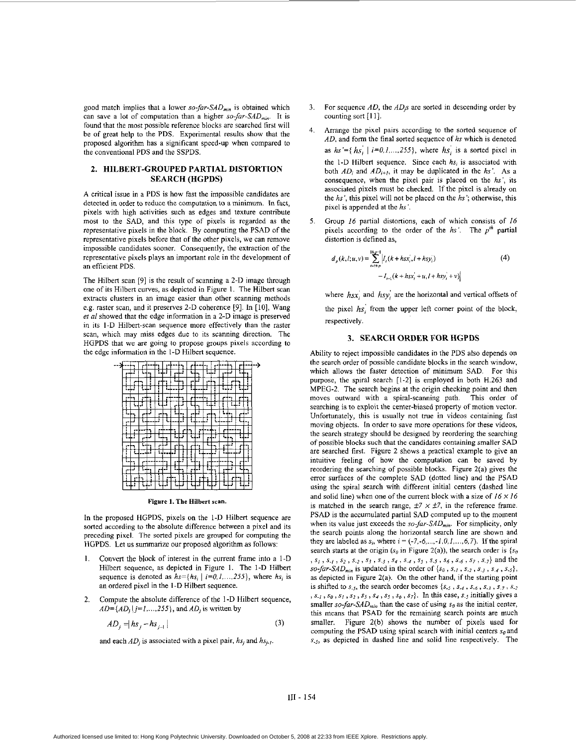good match implies that a lower *so-far-SAD<sub>min</sub>* is obtained which can save a lot of computation than a higher  $so-far-SAD_{min}$ . It is found that the most possible reference blocks are searched first will be of great help to the PDS. Experimental results show that the proposed algorithm has a significant speed-up when compared to the conventional **PDS** and the SSPDS.

#### **2. HILBERT-GROUPED PARTIAL DISTORTION SEARCH (HGPDS)**

A critical issue in a PDS is how fast the impossible candidates are detected in order to reduce the computation to a minimum. In fact, pixels with high activities such as edges and texture contribute most to the SAD, and this type of pixels is regarded as the representative pixels in the block. By computing the PSAD of the representative pixels before that of the other pixels, we can remove impossible candidates sooner. Consequently, the extraction of the representative pixels plays an important role in the development of an efficient PDS.

The Hilbert scan [9] is the result of scanning a 2-D image through one of its Hilbert cuwes, as depicted in Figure 1. The Hilbert scan extracts clusters in an image easier than other scanning methods e.g. raster scan, and it preserves 2-D coherence [9]. In [10], Wang **er** *al* showed that the edge information in a 2-D image is preserved in its I-D Hilbert-scan sequence more effectively than the raster scan, which may miss edges due to its scanning direction. The HGPDS that we are going to propose groups pixels according to the edge information in the I-D Hilbert sequence.

|  |   |   |   |   |    |  |   |                          |  | --> |
|--|---|---|---|---|----|--|---|--------------------------|--|-----|
|  |   |   |   | п |    |  |   |                          |  |     |
|  |   |   |   | ï | r. |  |   |                          |  |     |
|  |   |   |   |   |    |  |   | 2                        |  |     |
|  |   |   |   |   |    |  |   |                          |  |     |
|  |   |   |   |   |    |  |   |                          |  |     |
|  |   | ۲ |   |   |    |  |   |                          |  |     |
|  |   |   |   |   |    |  |   |                          |  |     |
|  |   |   | п |   |    |  |   |                          |  |     |
|  |   |   |   |   |    |  |   | $\overline{\phantom{a}}$ |  |     |
|  |   |   |   |   |    |  | ٠ |                          |  |     |
|  |   |   |   |   |    |  |   |                          |  |     |
|  | п | ĩ |   |   | п  |  |   |                          |  |     |
|  |   |   |   |   |    |  |   |                          |  |     |
|  |   |   |   |   |    |  |   |                          |  |     |

Figure **1. The** Hilbert **scan.** 

In the proposed HGPDS, pixels on the I-D Hilbert sequence are sorted according to the absolute difference between a pixel and its preceding pixel. The sorted pixels are grouped for computing the HGPDS. Let us summarize our proposed algorithm as follows:

- 1. Convert the block of interest in the current frame into a I-D Hilbert sequence, as depicted in Figure 1. The I-D Hilbert sequence is denoted as  $hs=[hs_i]$   $i=0,1,...,255$ , where  $hs_i$  is an ordered pixel in the I-D Hilbert sequence.
- 2. Compute the absolute difference of the 1-D Hilbert sequence,  $AD = \{AD_j \mid j=1,\ldots,255\}$ , and  $AD_j$  is written by

$$
AD_j = |hs_j - hs_{j-1}| \tag{3}
$$

and each  $AD_i$  is associated with a pixel pair,  $hs_i$  and  $hs_{i,l}$ .

- 3. For sequence *AD,* the *ADjs* are sorted in descending order by counting sort [11].
- Arrange the pixel pairs according to the sorted sequence of *AD,* and form the final sorted sequence of *hs* which is denoted as  $hs' = \{hs_i | i=0,1,...,255\}$ , where  $hs'$  is a sorted pixel in 4. the I-D Hilbert sequence. Since each *hs,* is associated with both  $AD_i$  and  $AD_{i+1}$ , it may be duplicated in the  $hs'$ . As a consequence, when the pixel pair is placed on the *hs',* its associated pixels must be checked. If the pixel is already on the *hs',* this pixel will not be placed on the *hs';* otherwise, this pixel is appended at the *hs'.*
- Group *16* partial distortions, each of which consists of 16 pixels according to the order of the *hs'*. The *p<sup>th</sup>* partial distortion is defined as, *5.*

$$
d_p(k, l; u, v) = \sum_{i = t}^{16p-1} \left| I_t(k + hsx_i, l + hsy_i) - I_{t-1}(k + hsx_i + u, l + hsy_i + v) \right|
$$
 (4)

where  $h_{SX_i}$  and  $h_{SY_i}$  are the horizontal and vertical offsets of the pixel  $hs<sub>i</sub>$ <sup>'</sup> from the upper left comer point of the block, respectively.

#### **3. SEARCH ORDER FOR HGPDS**

Ability to reject impossible candidates in the PDS also depends on the search order of possible candidate blocks in the search window, which allows the faster detection of minimum SAD. For this purpose, the spiral search [1-2] is employed in both H.263 and MPEG-2. The search begins at the origin checking point and then moves outward with a spiral-scanning path. This order of searching is to exploit the center-biased property of motion vector. Unfottunately, this is usually not true in videos containing fast moving objects. In order to save more operations for these videos, the search strategy should be designed by reordering the searching of possible blocks **such** that **the** candidates containing **smaller** SAD are searched first. Figure 2 shows a practical example to give an intuitive feeling of how the computation can be saved by reordering the searching of possible blocks. Figure 2(a) gives the error surfaces of the complete SAD (dotted line) and the PSAD using the spiral search with different initial centers (dashed line and solid line) when **one** of the current block with a size of *16 x* 16 is matched in the search range,  $\pm$ 7  $\times$   $\pm$ 7, in the reference frame. PSAD is the accumulated partial SAD computed up to the moment when its value just exceeds the *so-far-SAD<sub>min</sub>*. For simplicity, only the search points along the horizontal search line are shown and they are labeled as  $s_i$ , where  $i = (-7, -6, \ldots, -1, 0, 1, \ldots, 6, 7)$ . If the spiral search starts at the origin  $(s_0$  in Figure 2(a)), the search order is  $\{s_0$ , *SI* , *\$.I* , **\$2, s.2 I** *S3* , *S~3* , **Sg** , *S~d* , **Ss** , *S.5* **s6** , *s.6* , *Si* , **S~7}** and the  $so-far-SAD_{min}$  is updated in the order of  $\{s_0, s_{-1}, s_{-2}, s_{-3}, s_{-4}, s_{-5}\},$ as depicted in Figure 2(a). On the other hand, if the starting point is shifted to  $s_{.5}$ , the search order becomes  $\{s_{.5}, s_{.4}, s_{.6}, s_{.3}, s_{.7}, s_{.2}\}$ **<sup>2</sup>S.i I** So **I** *SI* , *SI* , **s3** , *SI* , **SI** , *SO* , *si}.* In this case, *s.~* initially gives a smaller *so-far-SAD<sub>min</sub>* than the case of using  $s_0$  as the initial center, this means that PSAD for the remaining search points are much smaller. Figure 2(b) shows the number of pixels used for computing the PSAD using spiral search with initial centers  $s_0$  and  $s_{.5}$ , as depicted in dashed line and solid line respectively. The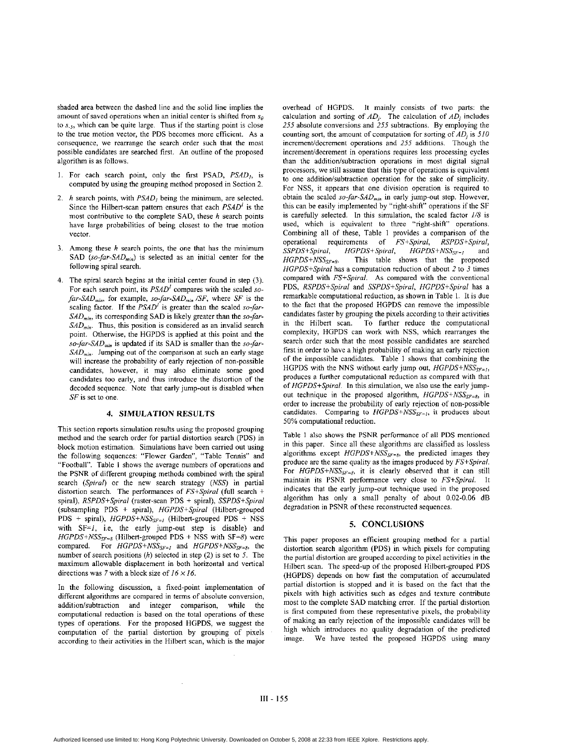shaded area between the dashed line and the solid line implies the amount of saved operations when an initial center is shifted from *so*  to *s*<sub>-5</sub>, which can be quite large. Thus if the starting point is close to the true motion vector, the PDS becomes more efficient. As a consequence, we rearrange the search order such that the most possible candidates are searched first. An outline of the proposed algorithm is as follows.

- 1. For each search point, only the **first** PSAD, *PSAD,,* is computed by using the grouping method proposed in Section 2.
- 2. *h* search points, with *PSAD,* being the minimum, are selected. Since the Hilbert-scan pattern ensures that each *PSAD'* is the most contributive to the complete SAD, these *h* search points have large probabilities of being closest to the ttue motion vector.
- 3. Among these *h* search points, the one that has the minimum SAD  $(so$ -*far-SAD<sub>min</sub>*) is selected as an initial center for the following spiral search.
- **4.** The spiral search begins at the initial center found in step (3). For each search point, its *PSAD<sup>1</sup>* compares with the scaled so*far-SAD<sub>min</sub>*, for example, *so-far-SAD<sub>min</sub>* /*SF*, where *SF* is the scaling factor. If the  $PSAD<sup>T</sup>$  is greater than the scaled *so-far-*SAD<sub>min</sub>, its corresponding SAD is likely greater than the *so-far-SAD<sub>min</sub>*. Thus, this position is considered as an invalid search point. Otherwise, the HGPDS is applied at this point and the so-far-SAD<sub>min</sub> is updated if its SAD is smaller than the *so-far-SAD<sub>min</sub>*. Jumping out of the comparison at such an early stage will increase the probability of early rejection of non-possible candidates, however, it may also eliminate some good candidates too early, and thus introduce the distortion of the decoded sequence. Note that early jump-out is disabled when *SF* is set to one.

#### **4. SIMULATION RESULTS**

This section reports simulation results using the proposed grouping method and the search order for partial distortion search (PDS) in block motion estimation. Simulations have been carried out using the following sequences: "Flower Garden", "Table Tennis" and "Football". [Table](#page-3-0) 1 shows the average numbers of operations and the **PSNR** of different grouping methods combined with the spiral search *(Spiral)* or the new search strategy *(NSS)* in partial distortion search. The performances of *FS+Spiral* (full search + spiral), *RSPDS+Spiral* (raster-scan PDS + spiral), *SSPDS+Spiral*  (subsampling PDS + spiral), *HGPDS+Spirol* (Hilbert-grouped PDS + spiral), *HGPDS+NSS<sub>SF=1</sub>* (Hilbert-grouped PDS + NSS with SF=/, i.e, the early jump-out step **is** disable) and  $HGPDS + NSS_{SF=8}$  (Hilbert-grouped PDS + NSS with SF=8) were compared. For *HGPDS+NSS<sub>SF=1</sub>* and *HGPDS+NSS<sub>SF=8</sub>*, the number of search positions *(h)* selected in step (2) is set to *5.* The maximum allowable displacement in both horizontal and vertical directions was **7** with a block size of 16 *x* 16.

In the following discussion, a fixed-point implementation of different algorithms **are** compared in terms of absolute conversion, addition/subtraction and integer comparison, while the computational reduction is based on the total operations of these types of operations. For the proposed HGPDS, we suggest the computation of the partial distortion by grouping of pixels according to their activities in the Hilbert scan, which is the major overhead of HGPDS. It mainly consists of two parts: the calculation and sorting of  $AD_i$ . The calculation of  $AD_i$  includes *255* absolute conversions and *255* subtractions. By employing the counting sort, the amount of computation for sorting of  $AD_i$  is 510 increment/decrement operations and 255 additions. Though the increment/decrement in operations requires less processing cycles than the addition/subtraction operations in most digital signal processors, we still assume that this type of operations is equivalent to one addition/subtraction operation for the sake of simplicity. For NSS, it appears that one division operation is required to obtain the scaled *so-far-SAD<sub>min</sub>* in early jump-out step. However, this can be easily implemented by "right-shift" operations if the **SF**  is carefully selected. In this simulation, the scaled factor *1/8* is used, which is equivalent to three "right-shift" operations. Combining all of these, [Table 1](#page-3-0) provides a comparison of the operational requirements of *FS+Spiral, RSPDS+Spiral, SSPDS+Spiral, HGPDS+Spiral, HGPDS+NSS,=,* and This table shows that the proposed *HGPDS+Spiral* has a computation reduction of about 2 to 3 times compared with *FS+Spiral.* **As** compared with the conventional PDS, *RSPDS+Spiral* and *SSPDS+Spiral, HGPDS+Spira/* has a remarkable computational reduction, as shown in [Table](#page-3-0) 1. It is due to the fact that the proposed HGPDS can remove the impossible candidates faster by grouping the pixels according to their activities in the Hilbert scan. To further reduce the computational complexity, HGPDS can work with NSS, which rearranges the search order such that the most possible candidates are searched first in order to have a high probability of making an early rejection of the impossible candidates. [Table 1](#page-3-0) shows that combining the HGPDS with the NNS without early jump out,  $HGPDS + NSS_{SF=1}$ , produces a further computational reduction as compared with that of *HGPDS+Spirol.* **In** this simulation, we also **use** the early jumpout technique in the proposed algorithm,  $HGPDS + NSS_{SF-8}$ , in order to increase the probability of early rejection of non-possible candidates. Comparing to  $HGPDS + NSS_{SF=1}$ , it produces about 50% computational reduction.

[Table 1](#page-3-0) also shows the PSNR performance of all PDS mentioned in this paper. Since all these algorithms are classified as lossless algorithms except  $HGPDS+NSS_{SF=8}$ , the predicted images they produce are the same quality as the images produced by *FS+Spiral.*  For *HGPDS+NSS<sub>SF=8</sub>*, it is clearly observed that it can still maintain its PSNR performance vety close to *FS+Spiral.* It indicates that the early jump-out technique used in the proposed algorithm has only a small penalty of about 0.02-0.06 dB degradation in PSNR of these reconstructed sequences.

#### **5. CONCLUSIONS**

This paper proposes an efficient grouping method for a partial distortion search algorithm (PDS) in which pixels for computing the partial distortion are grouped according to pixel activities in the Hilbert scan. The speed-up of the proposed Hilbert-grouped PDS (HGPDS) depends on how fast the computation of accumulated partial distortion is stopped and it is based on the fact that the pixels with high activities such as edges and texture contribute most to the complete SAD matching error. If the partial distortion is first computed from these representative pixels, the probability of making an early rejection of the impossible candidates will be high which introduces no quality degradation of the predicted image. We have tested the proposed HGPDS using many